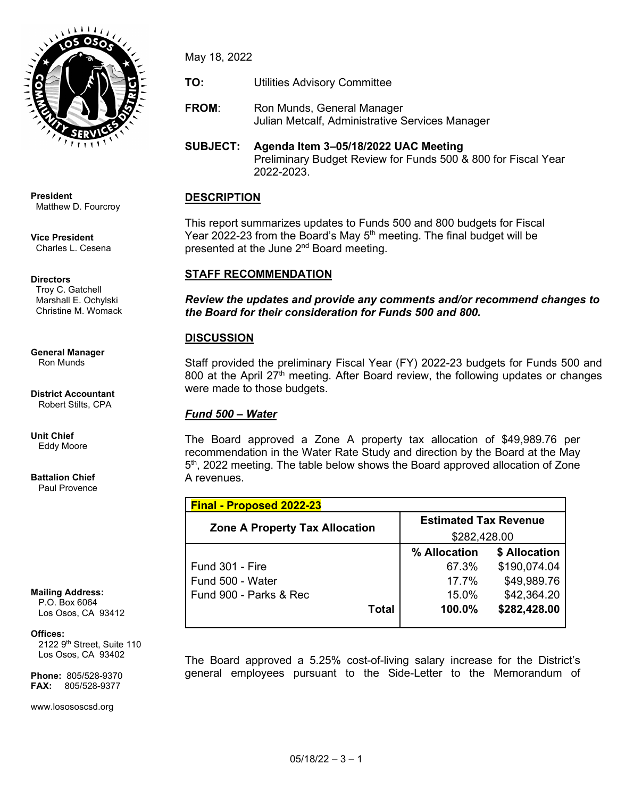

**President** Matthew D. Fourcroy

**Vice President** Charles L. Cesena

#### **Directors**

 Troy C. Gatchell Marshall E. Ochylski Christine M. Womack

**General Manager** Ron Munds

**District Accountant** Robert Stilts, CPA

**Unit Chief** Eddy Moore

**Battalion Chief** Paul Provence

**Mailing Address:**

 P.O. Box 6064 Los Osos, CA 93412

#### **Offices:**

2122 9<sup>th</sup> Street, Suite 110 Los Osos, CA 93402

**Phone:** 805/528-9370 **FAX:** 805/528-9377

www.losososcsd.org

May 18, 2022

**TO:** Utilities Advisory Committee

**FROM:** Ron Munds, General Manager Julian Metcalf, Administrative Services Manager

## **SUBJECT: Agenda Item 3–05/18/2022 UAC Meeting** Preliminary Budget Review for Funds 500 & 800 for Fiscal Year 2022-2023.

# **DESCRIPTION**

This report summarizes updates to Funds 500 and 800 budgets for Fiscal Year 2022-23 from the Board's May  $5<sup>th</sup>$  meeting. The final budget will be presented at the June  $2^{nd}$  Board meeting.

# **STAFF RECOMMENDATION**

*Review the updates and provide any comments and/or recommend changes to the Board for their consideration for Funds 500 and 800.*

# **DISCUSSION**

Staff provided the preliminary Fiscal Year (FY) 2022-23 budgets for Funds 500 and 800 at the April 27<sup>th</sup> meeting. After Board review, the following updates or changes were made to those budgets.

## *Fund 500 – Water*

The Board approved a Zone A property tax allocation of \$49,989.76 per recommendation in the Water Rate Study and direction by the Board at the May 5<sup>th</sup>, 2022 meeting. The table below shows the Board approved allocation of Zone A revenues.

| <b>Final - Proposed 2022-23</b>       |                              |               |  |  |
|---------------------------------------|------------------------------|---------------|--|--|
|                                       | <b>Estimated Tax Revenue</b> |               |  |  |
| <b>Zone A Property Tax Allocation</b> |                              | \$282,428.00  |  |  |
|                                       | % Allocation                 | \$ Allocation |  |  |
| Fund 301 - Fire                       | 67.3%                        | \$190,074.04  |  |  |
| Fund 500 - Water                      | 17 7%                        | \$49,989.76   |  |  |
| Fund 900 - Parks & Rec                | $15.0\%$                     | \$42,364.20   |  |  |
| Total                                 | $100.0\%$                    | \$282,428.00  |  |  |
|                                       |                              |               |  |  |

The Board approved a 5.25% cost-of-living salary increase for the District's general employees pursuant to the Side-Letter to the Memorandum of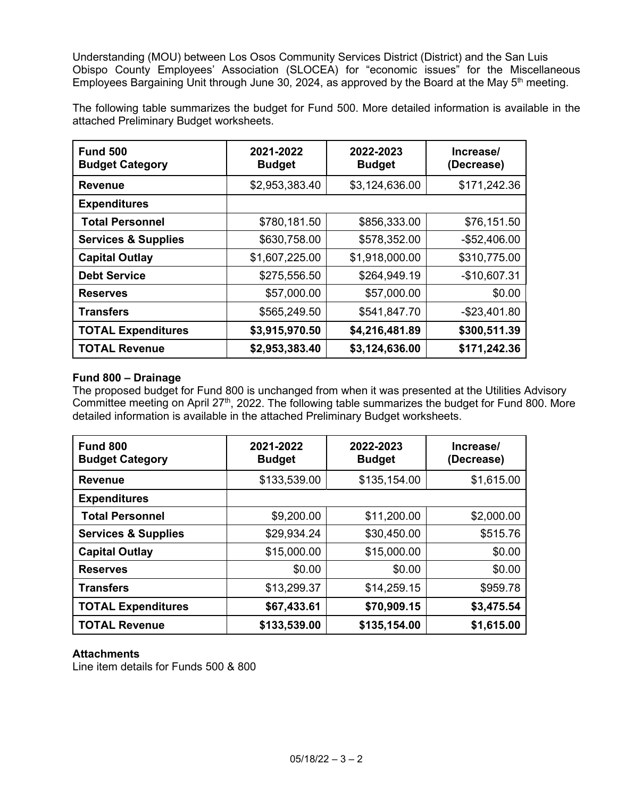Understanding (MOU) between Los Osos Community Services District (District) and the San Luis Obispo County Employees' Association (SLOCEA) for "economic issues" for the Miscellaneous Employees Bargaining Unit through June 30, 2024, as approved by the Board at the May 5<sup>th</sup> meeting.

The following table summarizes the budget for Fund 500. More detailed information is available in the attached Preliminary Budget worksheets.

| <b>Fund 500</b><br><b>Budget Category</b> | 2021-2022<br><b>Budget</b> | 2022-2023<br><b>Budget</b> | Increase/<br>(Decrease) |
|-------------------------------------------|----------------------------|----------------------------|-------------------------|
| <b>Revenue</b>                            | \$2,953,383.40             | \$3,124,636.00             | \$171,242.36            |
| <b>Expenditures</b>                       |                            |                            |                         |
| <b>Total Personnel</b>                    | \$780,181.50               | \$856,333.00               | \$76,151.50             |
| <b>Services &amp; Supplies</b>            | \$630,758.00               | \$578,352.00               | $-$ \$52,406.00         |
| <b>Capital Outlay</b>                     | \$1,607,225.00             | \$1,918,000.00             | \$310,775.00            |
| <b>Debt Service</b>                       | \$275,556.50               | \$264,949.19               | $-$10,607.31$           |
| <b>Reserves</b>                           | \$57,000.00                | \$57,000.00                | \$0.00                  |
| <b>Transfers</b>                          | \$565,249.50               | \$541,847.70               | $-$23,401.80$           |
| <b>TOTAL Expenditures</b>                 | \$3,915,970.50             | \$4,216,481.89             | \$300,511.39            |
| <b>TOTAL Revenue</b>                      | \$2,953,383.40             | \$3,124,636.00             | \$171,242.36            |

#### **Fund 800 – Drainage**

The proposed budget for Fund 800 is unchanged from when it was presented at the Utilities Advisory Committee meeting on April 27<sup>th</sup>, 2022. The following table summarizes the budget for Fund 800. More detailed information is available in the attached Preliminary Budget worksheets.

| <b>Fund 800</b><br><b>Budget Category</b> | 2021-2022<br><b>Budget</b> | 2022-2023<br><b>Budget</b> | Increase/<br>(Decrease) |
|-------------------------------------------|----------------------------|----------------------------|-------------------------|
| <b>Revenue</b>                            | \$133,539.00               | \$135,154.00               | \$1,615.00              |
| <b>Expenditures</b>                       |                            |                            |                         |
| <b>Total Personnel</b>                    | \$9,200.00                 | \$11,200.00                | \$2,000.00              |
| <b>Services &amp; Supplies</b>            | \$29,934.24                | \$30,450.00                | \$515.76                |
| <b>Capital Outlay</b>                     | \$15,000.00                | \$15,000.00                | \$0.00                  |
| <b>Reserves</b>                           | \$0.00                     | \$0.00                     | \$0.00                  |
| <b>Transfers</b>                          | \$13,299.37                | \$14,259.15                | \$959.78                |
| <b>TOTAL Expenditures</b>                 | \$67,433.61                | \$70,909.15                | \$3,475.54              |
| <b>TOTAL Revenue</b>                      | \$133,539.00               | \$135,154.00               | \$1,615.00              |

## **Attachments**

Line item details for Funds 500 & 800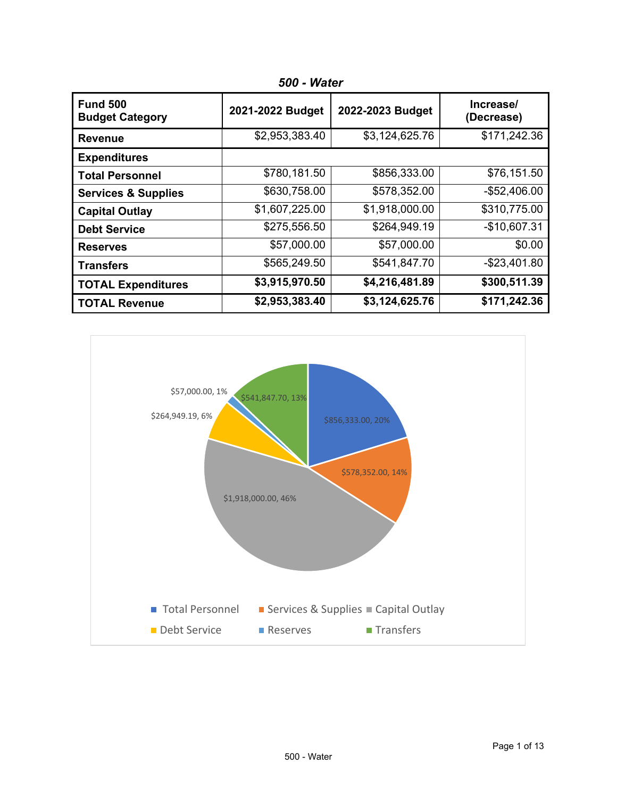| <b>Fund 500</b><br><b>Budget Category</b> | 2021-2022 Budget | 2022-2023 Budget | Increase/<br>(Decrease) |
|-------------------------------------------|------------------|------------------|-------------------------|
| <b>Revenue</b>                            | \$2,953,383.40   | \$3,124,625.76   | \$171,242.36            |
| <b>Expenditures</b>                       |                  |                  |                         |
| <b>Total Personnel</b>                    | \$780,181.50     | \$856,333.00     | \$76,151.50             |
| <b>Services &amp; Supplies</b>            | \$630,758.00     | \$578,352.00     | $-$52,406.00$           |
| <b>Capital Outlay</b>                     | \$1,607,225.00   | \$1,918,000.00   | \$310,775.00            |
| <b>Debt Service</b>                       | \$275,556.50     | \$264,949.19     | $-$10,607.31$           |
| <b>Reserves</b>                           | \$57,000.00      | \$57,000.00      | \$0.00                  |
| <b>Transfers</b>                          | \$565,249.50     | \$541,847.70     | $-$ \$23,401.80         |
| <b>TOTAL Expenditures</b>                 | \$3,915,970.50   | \$4,216,481.89   | \$300,511.39            |
| <b>TOTAL Revenue</b>                      | \$2,953,383.40   | \$3,124,625.76   | \$171,242.36            |

*500 - Water*

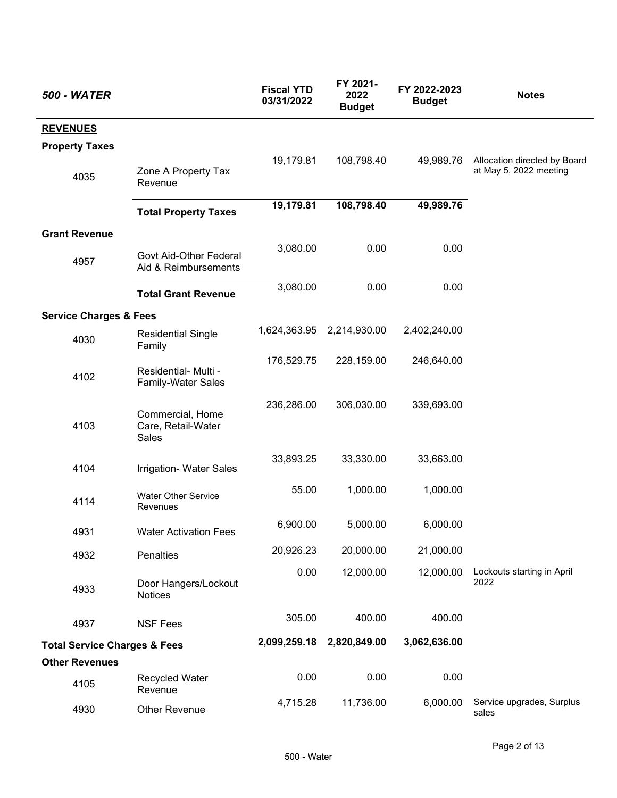| <b>500 - WATER</b>                      |                                                   | <b>Fiscal YTD</b><br>03/31/2022 | FY 2021-<br>2022<br><b>Budget</b> | FY 2022-2023<br><b>Budget</b> | <b>Notes</b>                                           |
|-----------------------------------------|---------------------------------------------------|---------------------------------|-----------------------------------|-------------------------------|--------------------------------------------------------|
| <b>REVENUES</b>                         |                                                   |                                 |                                   |                               |                                                        |
| <b>Property Taxes</b>                   |                                                   |                                 |                                   |                               |                                                        |
| 4035                                    | Zone A Property Tax<br>Revenue                    | 19,179.81                       | 108,798.40                        | 49,989.76                     | Allocation directed by Board<br>at May 5, 2022 meeting |
|                                         | <b>Total Property Taxes</b>                       | 19,179.81                       | 108,798.40                        | 49,989.76                     |                                                        |
| <b>Grant Revenue</b>                    |                                                   |                                 |                                   |                               |                                                        |
| 4957                                    | Govt Aid-Other Federal<br>Aid & Reimbursements    | 3,080.00                        | 0.00                              | 0.00                          |                                                        |
|                                         | <b>Total Grant Revenue</b>                        | 3,080.00                        | 0.00                              | 0.00                          |                                                        |
| <b>Service Charges &amp; Fees</b>       |                                                   |                                 |                                   |                               |                                                        |
| 4030                                    | <b>Residential Single</b><br>Family               |                                 | 1,624,363.95 2,214,930.00         | 2,402,240.00                  |                                                        |
| 4102                                    | Residential- Multi -<br><b>Family-Water Sales</b> | 176,529.75                      | 228,159.00                        | 246,640.00                    |                                                        |
| 4103                                    | Commercial, Home<br>Care, Retail-Water<br>Sales   | 236,286.00                      | 306,030.00                        | 339,693.00                    |                                                        |
| 4104                                    | Irrigation- Water Sales                           | 33,893.25                       | 33,330.00                         | 33,663.00                     |                                                        |
| 4114                                    | <b>Water Other Service</b><br>Revenues            | 55.00                           | 1,000.00                          | 1,000.00                      |                                                        |
| 4931                                    | <b>Water Activation Fees</b>                      | 6,900.00                        | 5,000.00                          | 6,000.00                      |                                                        |
| 4932                                    | Penalties                                         | 20,926.23                       | 20,000.00                         | 21,000.00                     |                                                        |
| 4933                                    | Door Hangers/Lockout<br><b>Notices</b>            | 0.00                            | 12,000.00                         | 12,000.00                     | Lockouts starting in April<br>2022                     |
| 4937                                    | <b>NSF Fees</b>                                   | 305.00                          | 400.00                            | 400.00                        |                                                        |
| <b>Total Service Charges &amp; Fees</b> |                                                   | 2,099,259.18                    | 2,820,849.00                      | 3,062,636.00                  |                                                        |
| <b>Other Revenues</b>                   |                                                   |                                 |                                   |                               |                                                        |
| 4105                                    | Recycled Water<br>Revenue                         | 0.00                            | 0.00                              | 0.00                          |                                                        |
| 4930                                    | Other Revenue                                     | 4,715.28                        | 11,736.00                         | 6,000.00                      | Service upgrades, Surplus<br>sales                     |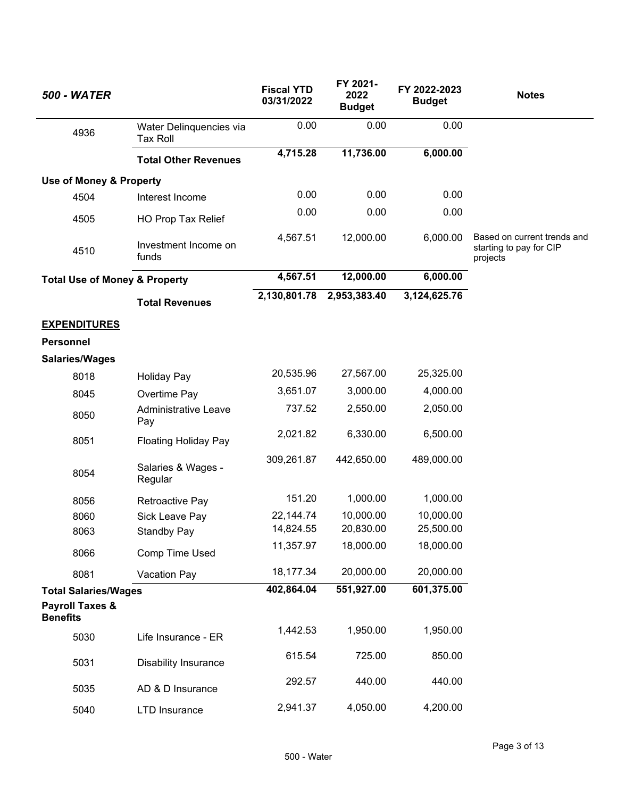| <b>500 - WATER</b>                            |                                            | <b>Fiscal YTD</b><br>03/31/2022 | FY 2021-<br>2022<br><b>Budget</b> | FY 2022-2023<br><b>Budget</b> | <b>Notes</b>                                                       |
|-----------------------------------------------|--------------------------------------------|---------------------------------|-----------------------------------|-------------------------------|--------------------------------------------------------------------|
| 4936                                          | Water Delinquencies via<br><b>Tax Roll</b> | 0.00                            | 0.00                              | 0.00                          |                                                                    |
|                                               | <b>Total Other Revenues</b>                | 4,715.28                        | 11,736.00                         | 6,000.00                      |                                                                    |
| <b>Use of Money &amp; Property</b>            |                                            |                                 |                                   |                               |                                                                    |
| 4504                                          | Interest Income                            | 0.00                            | 0.00                              | 0.00                          |                                                                    |
| 4505                                          | HO Prop Tax Relief                         | 0.00                            | 0.00                              | 0.00                          |                                                                    |
| 4510                                          | Investment Income on<br>funds              | 4,567.51                        | 12,000.00                         | 6,000.00                      | Based on current trends and<br>starting to pay for CIP<br>projects |
| <b>Total Use of Money &amp; Property</b>      |                                            | 4,567.51                        | 12,000.00                         | 6,000.00                      |                                                                    |
|                                               | <b>Total Revenues</b>                      | 2,130,801.78                    | 2,953,383.40                      | 3,124,625.76                  |                                                                    |
| <b>EXPENDITURES</b>                           |                                            |                                 |                                   |                               |                                                                    |
| <b>Personnel</b>                              |                                            |                                 |                                   |                               |                                                                    |
| <b>Salaries/Wages</b>                         |                                            |                                 |                                   |                               |                                                                    |
| 8018                                          | <b>Holiday Pay</b>                         | 20,535.96                       | 27,567.00                         | 25,325.00                     |                                                                    |
| 8045                                          | Overtime Pay                               | 3,651.07                        | 3,000.00                          | 4,000.00                      |                                                                    |
| 8050                                          | <b>Administrative Leave</b><br>Pay         | 737.52                          | 2,550.00                          | 2,050.00                      |                                                                    |
| 8051                                          | <b>Floating Holiday Pay</b>                | 2,021.82                        | 6,330.00                          | 6,500.00                      |                                                                    |
| 8054                                          | Salaries & Wages -<br>Regular              | 309,261.87                      | 442,650.00                        | 489,000.00                    |                                                                    |
| 8056                                          | Retroactive Pay                            | 151.20                          | 1,000.00                          | 1,000.00                      |                                                                    |
| 8060                                          | Sick Leave Pay                             | 22,144.74                       | 10,000.00                         | 10,000.00                     |                                                                    |
| 8063                                          | Standby Pay                                | 14,824.55                       | 20,830.00                         | 25,500.00                     |                                                                    |
| 8066                                          | Comp Time Used                             | 11,357.97                       | 18,000.00                         | 18,000.00                     |                                                                    |
| 8081                                          | Vacation Pay                               | 18,177.34                       | 20,000.00                         | 20,000.00                     |                                                                    |
| <b>Total Salaries/Wages</b>                   |                                            | 402,864.04                      | 551,927.00                        | 601,375.00                    |                                                                    |
| <b>Payroll Taxes &amp;</b><br><b>Benefits</b> |                                            |                                 |                                   |                               |                                                                    |
| 5030                                          | Life Insurance - ER                        | 1,442.53                        | 1,950.00                          | 1,950.00                      |                                                                    |
| 5031                                          | <b>Disability Insurance</b>                | 615.54                          | 725.00                            | 850.00                        |                                                                    |
| 5035                                          | AD & D Insurance                           | 292.57                          | 440.00                            | 440.00                        |                                                                    |
| 5040                                          | <b>LTD</b> Insurance                       | 2,941.37                        | 4,050.00                          | 4,200.00                      |                                                                    |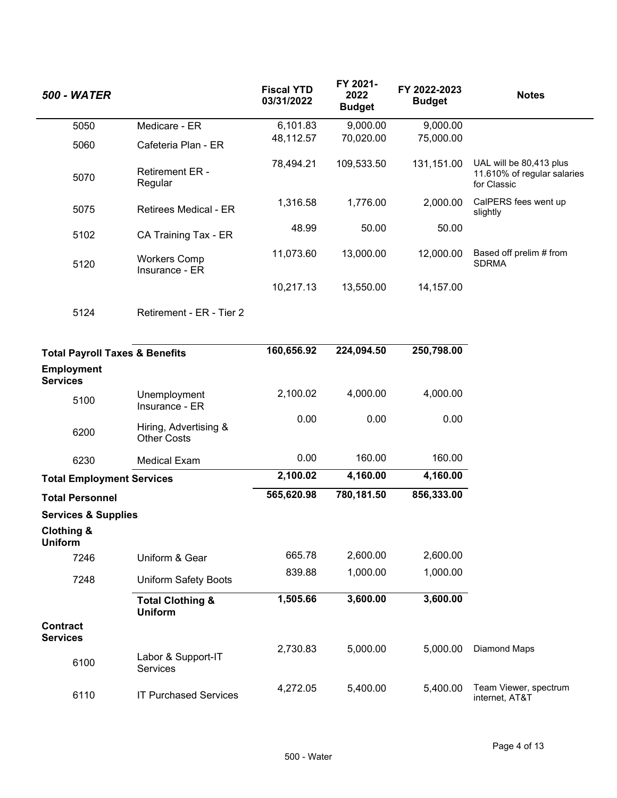| <b>500 - WATER</b>                        |                                               | <b>Fiscal YTD</b><br>03/31/2022 | FY 2021-<br>2022<br><b>Budget</b> | FY 2022-2023<br><b>Budget</b> | <b>Notes</b>                                                          |
|-------------------------------------------|-----------------------------------------------|---------------------------------|-----------------------------------|-------------------------------|-----------------------------------------------------------------------|
| 5050                                      | Medicare - ER                                 | 6,101.83                        | 9,000.00                          | 9,000.00                      |                                                                       |
| 5060                                      | Cafeteria Plan - ER                           | 48,112.57                       | 70,020.00                         | 75,000.00                     |                                                                       |
| 5070                                      | <b>Retirement ER -</b><br>Regular             | 78,494.21                       | 109,533.50                        | 131,151.00                    | UAL will be 80,413 plus<br>11.610% of regular salaries<br>for Classic |
| 5075                                      | <b>Retirees Medical - ER</b>                  | 1,316.58                        | 1,776.00                          | 2,000.00                      | CalPERS fees went up<br>slightly                                      |
| 5102                                      | CA Training Tax - ER                          | 48.99                           | 50.00                             | 50.00                         |                                                                       |
| 5120                                      | <b>Workers Comp</b><br>Insurance - ER         | 11,073.60                       | 13,000.00                         | 12,000.00                     | Based off prelim # from<br><b>SDRMA</b>                               |
|                                           |                                               | 10,217.13                       | 13,550.00                         | 14,157.00                     |                                                                       |
| 5124                                      | Retirement - ER - Tier 2                      |                                 |                                   |                               |                                                                       |
| <b>Total Payroll Taxes &amp; Benefits</b> |                                               | 160,656.92                      | 224,094.50                        | 250,798.00                    |                                                                       |
| <b>Employment</b><br><b>Services</b>      |                                               |                                 |                                   |                               |                                                                       |
| 5100                                      | Unemployment<br>Insurance - ER                | 2,100.02                        | 4,000.00                          | 4,000.00                      |                                                                       |
| 6200                                      | Hiring, Advertising &<br><b>Other Costs</b>   | 0.00                            | 0.00                              | 0.00                          |                                                                       |
| 6230                                      | <b>Medical Exam</b>                           | 0.00                            | 160.00                            | 160.00                        |                                                                       |
| <b>Total Employment Services</b>          |                                               | 2,100.02                        | 4,160.00                          | 4,160.00                      |                                                                       |
| <b>Total Personnel</b>                    |                                               | 565,620.98                      | 780,181.50                        | 856,333.00                    |                                                                       |
| <b>Services &amp; Supplies</b>            |                                               |                                 |                                   |                               |                                                                       |
| <b>Clothing &amp;</b><br><b>Uniform</b>   |                                               |                                 |                                   |                               |                                                                       |
| 7246                                      | Uniform & Gear                                | 665.78                          | 2,600.00                          | 2,600.00                      |                                                                       |
| 7248                                      | <b>Uniform Safety Boots</b>                   | 839.88                          | 1,000.00                          | 1,000.00                      |                                                                       |
|                                           | <b>Total Clothing &amp;</b><br><b>Uniform</b> | 1,505.66                        | 3,600.00                          | 3,600.00                      |                                                                       |
| <b>Contract</b><br><b>Services</b>        |                                               |                                 |                                   |                               |                                                                       |
| 6100                                      | Labor & Support-IT<br>Services                | 2,730.83                        | 5,000.00                          | 5,000.00                      | <b>Diamond Maps</b>                                                   |
| 6110                                      | <b>IT Purchased Services</b>                  | 4,272.05                        | 5,400.00                          | 5,400.00                      | Team Viewer, spectrum<br>internet, AT&T                               |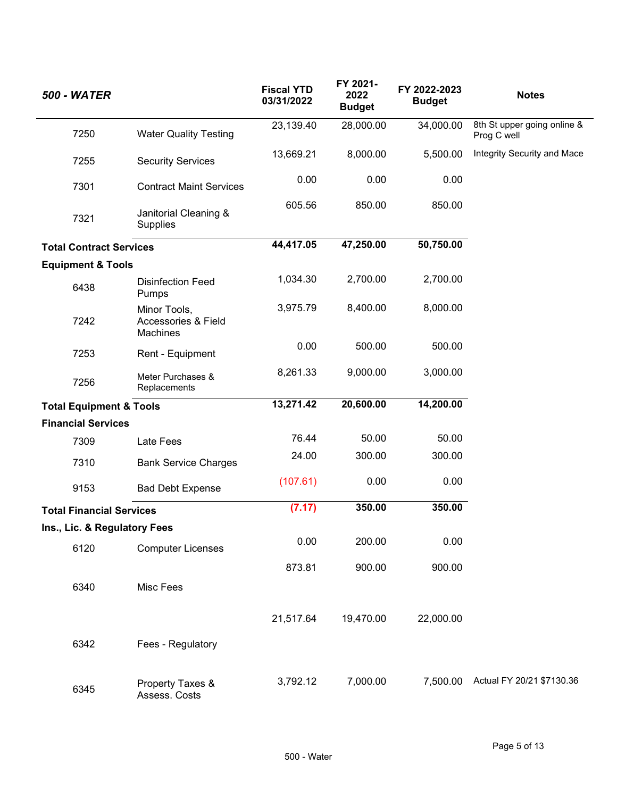| <b>500 - WATER</b>                 |                                                            | <b>Fiscal YTD</b><br>03/31/2022 | FY 2021-<br>2022<br><b>Budget</b> | FY 2022-2023<br><b>Budget</b> | <b>Notes</b>                               |
|------------------------------------|------------------------------------------------------------|---------------------------------|-----------------------------------|-------------------------------|--------------------------------------------|
| 7250                               | <b>Water Quality Testing</b>                               | 23,139.40                       | 28,000.00                         | 34,000.00                     | 8th St upper going online &<br>Prog C well |
| 7255                               | <b>Security Services</b>                                   | 13,669.21                       | 8,000.00                          | 5,500.00                      | Integrity Security and Mace                |
| 7301                               | <b>Contract Maint Services</b>                             | 0.00                            | 0.00                              | 0.00                          |                                            |
| 7321                               | Janitorial Cleaning &<br>Supplies                          | 605.56                          | 850.00                            | 850.00                        |                                            |
| <b>Total Contract Services</b>     |                                                            | 44,417.05                       | 47,250.00                         | 50,750.00                     |                                            |
| <b>Equipment &amp; Tools</b>       |                                                            |                                 |                                   |                               |                                            |
| 6438                               | <b>Disinfection Feed</b><br>Pumps                          | 1,034.30                        | 2,700.00                          | 2,700.00                      |                                            |
| 7242                               | Minor Tools,<br><b>Accessories &amp; Field</b><br>Machines | 3,975.79                        | 8,400.00                          | 8,000.00                      |                                            |
| 7253                               | Rent - Equipment                                           | 0.00                            | 500.00                            | 500.00                        |                                            |
| 7256                               | Meter Purchases &<br>Replacements                          | 8,261.33                        | 9,000.00                          | 3,000.00                      |                                            |
| <b>Total Equipment &amp; Tools</b> |                                                            | 13,271.42                       | 20,600.00                         | 14,200.00                     |                                            |
| <b>Financial Services</b>          |                                                            |                                 |                                   |                               |                                            |
| 7309                               | Late Fees                                                  | 76.44                           | 50.00                             | 50.00                         |                                            |
| 7310                               | <b>Bank Service Charges</b>                                | 24.00                           | 300.00                            | 300.00                        |                                            |
| 9153                               | <b>Bad Debt Expense</b>                                    | (107.61)                        | 0.00                              | 0.00                          |                                            |
| <b>Total Financial Services</b>    |                                                            | (7.17)                          | 350.00                            | 350.00                        |                                            |
| Ins., Lic. & Regulatory Fees       |                                                            |                                 |                                   |                               |                                            |
| 6120                               | <b>Computer Licenses</b>                                   | 0.00                            | 200.00                            | 0.00                          |                                            |
|                                    |                                                            | 873.81                          | 900.00                            | 900.00                        |                                            |
| 6340                               | Misc Fees                                                  |                                 |                                   |                               |                                            |
|                                    |                                                            | 21,517.64                       | 19,470.00                         | 22,000.00                     |                                            |
| 6342                               | Fees - Regulatory                                          |                                 |                                   |                               |                                            |
| 6345                               | Property Taxes &<br>Assess. Costs                          | 3,792.12                        | 7,000.00                          | 7,500.00                      | Actual FY 20/21 \$7130.36                  |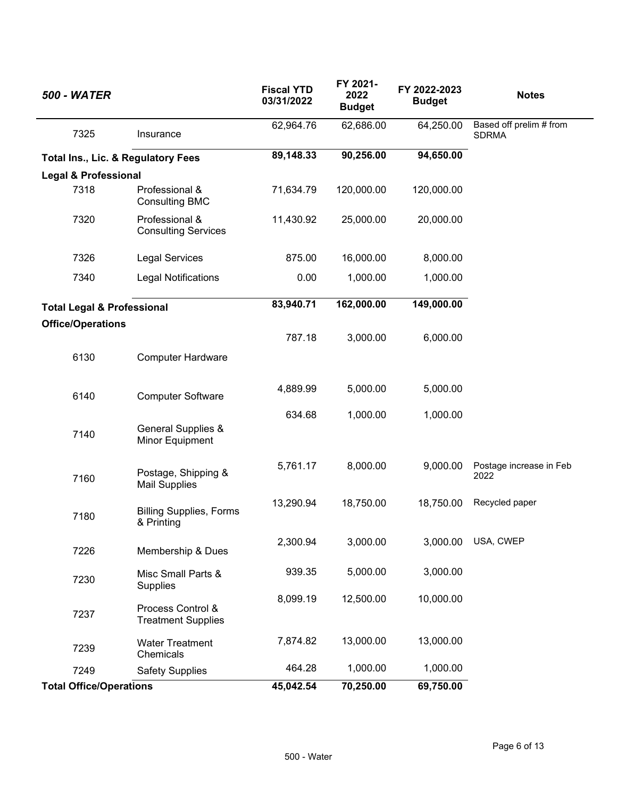| <b>500 - WATER</b>                    |                                                  | <b>Fiscal YTD</b><br>03/31/2022 | FY 2021-<br>2022<br><b>Budget</b> | FY 2022-2023<br><b>Budget</b> | <b>Notes</b>                            |
|---------------------------------------|--------------------------------------------------|---------------------------------|-----------------------------------|-------------------------------|-----------------------------------------|
| 7325                                  | Insurance                                        | 62,964.76                       | 62,686.00                         | 64,250.00                     | Based off prelim # from<br><b>SDRMA</b> |
| Total Ins., Lic. & Regulatory Fees    |                                                  | 89,148.33                       | 90,256.00                         | 94,650.00                     |                                         |
| <b>Legal &amp; Professional</b>       |                                                  |                                 |                                   |                               |                                         |
| 7318                                  | Professional &<br><b>Consulting BMC</b>          | 71,634.79                       | 120,000.00                        | 120,000.00                    |                                         |
| 7320                                  | Professional &<br><b>Consulting Services</b>     | 11,430.92                       | 25,000.00                         | 20,000.00                     |                                         |
| 7326                                  | <b>Legal Services</b>                            | 875.00                          | 16,000.00                         | 8,000.00                      |                                         |
| 7340                                  | <b>Legal Notifications</b>                       | 0.00                            | 1,000.00                          | 1,000.00                      |                                         |
| <b>Total Legal &amp; Professional</b> |                                                  | 83,940.71                       | 162,000.00                        | 149,000.00                    |                                         |
| <b>Office/Operations</b>              |                                                  |                                 |                                   |                               |                                         |
|                                       |                                                  | 787.18                          | 3,000.00                          | 6,000.00                      |                                         |
| 6130                                  | <b>Computer Hardware</b>                         |                                 |                                   |                               |                                         |
| 6140                                  | <b>Computer Software</b>                         | 4,889.99                        | 5,000.00                          | 5,000.00                      |                                         |
| 7140                                  | <b>General Supplies &amp;</b><br>Minor Equipment | 634.68                          | 1,000.00                          | 1,000.00                      |                                         |
| 7160                                  | Postage, Shipping &<br><b>Mail Supplies</b>      | 5,761.17                        | 8,000.00                          | 9,000.00                      | Postage increase in Feb<br>2022         |
| 7180                                  | <b>Billing Supplies, Forms</b><br>& Printing     | 13,290.94                       | 18,750.00                         | 18,750.00                     | Recycled paper                          |
| 7226                                  | Membership & Dues                                | 2,300.94                        | 3,000.00                          | 3,000.00                      | USA, CWEP                               |
| 7230                                  | Misc Small Parts &<br>Supplies                   | 939.35                          | 5,000.00                          | 3,000.00                      |                                         |
| 7237                                  | Process Control &<br><b>Treatment Supplies</b>   | 8,099.19                        | 12,500.00                         | 10,000.00                     |                                         |
| 7239                                  | <b>Water Treatment</b><br>Chemicals              | 7,874.82                        | 13,000.00                         | 13,000.00                     |                                         |
| 7249                                  | <b>Safety Supplies</b>                           | 464.28                          | 1,000.00                          | 1,000.00                      |                                         |
| <b>Total Office/Operations</b>        |                                                  | 45,042.54                       | 70,250.00                         | 69,750.00                     |                                         |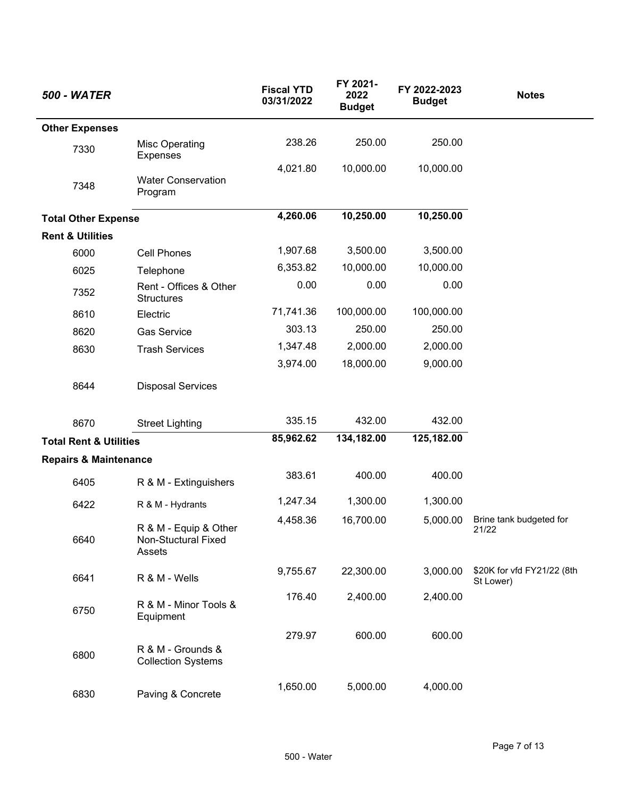| <b>500 - WATER</b>                |                                                               | <b>Fiscal YTD</b><br>03/31/2022 | FY 2021-<br>2022<br><b>Budget</b> | FY 2022-2023<br><b>Budget</b> | <b>Notes</b>                            |
|-----------------------------------|---------------------------------------------------------------|---------------------------------|-----------------------------------|-------------------------------|-----------------------------------------|
| <b>Other Expenses</b>             |                                                               |                                 |                                   |                               |                                         |
| 7330                              | <b>Misc Operating</b><br>Expenses                             | 238.26                          | 250.00                            | 250.00                        |                                         |
| 7348                              | <b>Water Conservation</b><br>Program                          | 4,021.80                        | 10,000.00                         | 10,000.00                     |                                         |
| <b>Total Other Expense</b>        |                                                               | 4,260.06                        | 10,250.00                         | 10,250.00                     |                                         |
| <b>Rent &amp; Utilities</b>       |                                                               |                                 |                                   |                               |                                         |
| 6000                              | <b>Cell Phones</b>                                            | 1,907.68                        | 3,500.00                          | 3,500.00                      |                                         |
| 6025                              | Telephone                                                     | 6,353.82                        | 10,000.00                         | 10,000.00                     |                                         |
| 7352                              | Rent - Offices & Other<br><b>Structures</b>                   | 0.00                            | 0.00                              | 0.00                          |                                         |
| 8610                              | Electric                                                      | 71,741.36                       | 100,000.00                        | 100,000.00                    |                                         |
| 8620                              | <b>Gas Service</b>                                            | 303.13                          | 250.00                            | 250.00                        |                                         |
| 8630                              | <b>Trash Services</b>                                         | 1,347.48                        | 2,000.00                          | 2,000.00                      |                                         |
|                                   |                                                               | 3,974.00                        | 18,000.00                         | 9,000.00                      |                                         |
| 8644                              | <b>Disposal Services</b>                                      |                                 |                                   |                               |                                         |
| 8670                              | <b>Street Lighting</b>                                        | 335.15                          | 432.00                            | 432.00                        |                                         |
| <b>Total Rent &amp; Utilities</b> |                                                               | 85,962.62                       | 134,182.00                        | 125,182.00                    |                                         |
| <b>Repairs &amp; Maintenance</b>  |                                                               |                                 |                                   |                               |                                         |
| 6405                              | R & M - Extinguishers                                         | 383.61                          | 400.00                            | 400.00                        |                                         |
| 6422                              | R & M - Hydrants                                              | 1,247.34                        | 1,300.00                          | 1,300.00                      |                                         |
| 6640                              | R & M - Equip & Other<br><b>Non-Stuctural Fixed</b><br>Assets | 4,458.36                        | 16,700.00                         | 5,000.00                      | Brine tank budgeted for<br>21/22        |
| 6641                              | R & M - Wells                                                 | 9,755.67                        | 22,300.00                         | 3,000.00                      | \$20K for vfd FY21/22 (8th<br>St Lower) |
| 6750                              | R & M - Minor Tools &<br>Equipment                            | 176.40                          | 2,400.00                          | 2,400.00                      |                                         |
|                                   |                                                               | 279.97                          | 600.00                            | 600.00                        |                                         |
| 6800                              | R & M - Grounds &<br><b>Collection Systems</b>                |                                 |                                   |                               |                                         |
| 6830                              | Paving & Concrete                                             | 1,650.00                        | 5,000.00                          | 4,000.00                      |                                         |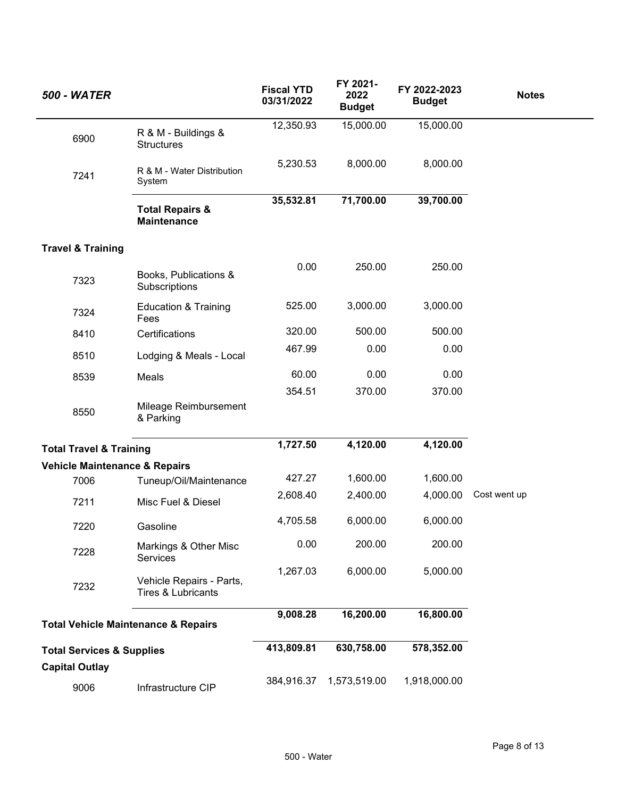| <b>500 - WATER</b>                   |                                                           | <b>Fiscal YTD</b><br>03/31/2022 | FY 2021-<br>2022<br><b>Budget</b> | FY 2022-2023<br><b>Budget</b> | <b>Notes</b> |
|--------------------------------------|-----------------------------------------------------------|---------------------------------|-----------------------------------|-------------------------------|--------------|
| 6900                                 | R & M - Buildings &<br><b>Structures</b>                  | 12,350.93                       | 15,000.00                         | 15,000.00                     |              |
| 7241                                 | R & M - Water Distribution<br>System                      | 5,230.53                        | 8,000.00                          | 8,000.00                      |              |
|                                      | <b>Total Repairs &amp;</b><br><b>Maintenance</b>          | 35,532.81                       | 71,700.00                         | 39,700.00                     |              |
| <b>Travel &amp; Training</b>         |                                                           |                                 |                                   |                               |              |
| 7323                                 | Books, Publications &<br>Subscriptions                    | 0.00                            | 250.00                            | 250.00                        |              |
| 7324                                 | <b>Education &amp; Training</b><br>Fees                   | 525.00                          | 3,000.00                          | 3,000.00                      |              |
| 8410                                 | Certifications                                            | 320.00                          | 500.00                            | 500.00                        |              |
| 8510                                 | Lodging & Meals - Local                                   | 467.99                          | 0.00                              | 0.00                          |              |
| 8539                                 | Meals                                                     | 60.00                           | 0.00                              | 0.00                          |              |
|                                      |                                                           | 354.51                          | 370.00                            | 370.00                        |              |
| 8550                                 | Mileage Reimbursement<br>& Parking                        |                                 |                                   |                               |              |
| <b>Total Travel &amp; Training</b>   |                                                           | 1,727.50                        | 4,120.00                          | 4,120.00                      |              |
| Vehicle Maintenance & Repairs        |                                                           |                                 |                                   |                               |              |
| 7006                                 | Tuneup/Oil/Maintenance                                    | 427.27                          | 1,600.00                          | 1,600.00                      |              |
| 7211                                 | Misc Fuel & Diesel                                        | 2,608.40                        | 2,400.00                          | 4,000.00                      | Cost went up |
| 7220                                 | Gasoline                                                  | 4,705.58                        | 6,000.00                          | 6,000.00                      |              |
| 7228                                 | Markings & Other Misc<br><b>Services</b>                  | 0.00                            | 200.00                            | 200.00                        |              |
| 7232                                 | Vehicle Repairs - Parts,<br><b>Tires &amp; Lubricants</b> | 1,267.03                        | 6,000.00                          | 5,000.00                      |              |
|                                      | <b>Total Vehicle Maintenance &amp; Repairs</b>            | 9,008.28                        | 16,200.00                         | 16,800.00                     |              |
| <b>Total Services &amp; Supplies</b> |                                                           | 413,809.81                      | 630,758.00                        | 578,352.00                    |              |
| <b>Capital Outlay</b>                |                                                           |                                 |                                   |                               |              |
| 9006                                 | Infrastructure CIP                                        | 384,916.37                      | 1,573,519.00                      | 1,918,000.00                  |              |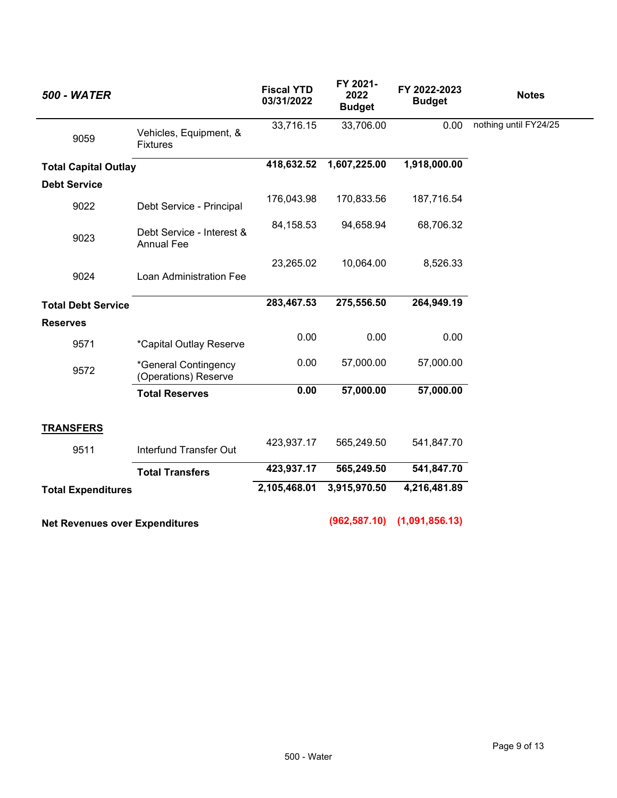| <b>500 - WATER</b>                    |                                                | <b>Fiscal YTD</b><br>03/31/2022 | FY 2021-<br>2022<br><b>Budget</b> | FY 2022-2023<br><b>Budget</b> | <b>Notes</b>          |
|---------------------------------------|------------------------------------------------|---------------------------------|-----------------------------------|-------------------------------|-----------------------|
| 9059                                  | Vehicles, Equipment, &<br><b>Fixtures</b>      | 33,716.15                       | 33,706.00                         | 0.00                          | nothing until FY24/25 |
| <b>Total Capital Outlay</b>           |                                                | 418,632.52                      | 1,607,225.00                      | 1,918,000.00                  |                       |
| <b>Debt Service</b>                   |                                                |                                 |                                   |                               |                       |
| 9022                                  | Debt Service - Principal                       | 176,043.98                      | 170,833.56                        | 187,716.54                    |                       |
| 9023                                  | Debt Service - Interest &<br><b>Annual Fee</b> | 84,158.53                       | 94,658.94                         | 68,706.32                     |                       |
| 9024                                  | Loan Administration Fee                        | 23,265.02                       | 10,064.00                         | 8,526.33                      |                       |
| <b>Total Debt Service</b>             |                                                | 283,467.53                      | 275,556.50                        | 264,949.19                    |                       |
| <b>Reserves</b>                       |                                                |                                 |                                   |                               |                       |
| 9571                                  | *Capital Outlay Reserve                        | 0.00                            | 0.00                              | 0.00                          |                       |
| 9572                                  | *General Contingency<br>(Operations) Reserve   | 0.00                            | 57,000.00                         | 57,000.00                     |                       |
|                                       | <b>Total Reserves</b>                          | 0.00                            | 57,000.00                         | 57,000.00                     |                       |
| <b>TRANSFERS</b>                      |                                                |                                 |                                   |                               |                       |
| 9511                                  | Interfund Transfer Out                         | 423,937.17                      | 565,249.50                        | 541,847.70                    |                       |
|                                       | <b>Total Transfers</b>                         | 423,937.17                      | 565,249.50                        | 541,847.70                    |                       |
| <b>Total Expenditures</b>             |                                                | 2,105,468.01                    | 3,915,970.50                      | 4,216,481.89                  |                       |
| <b>Net Revenues over Expenditures</b> |                                                |                                 | (962, 587.10)                     | (1,091,856.13)                |                       |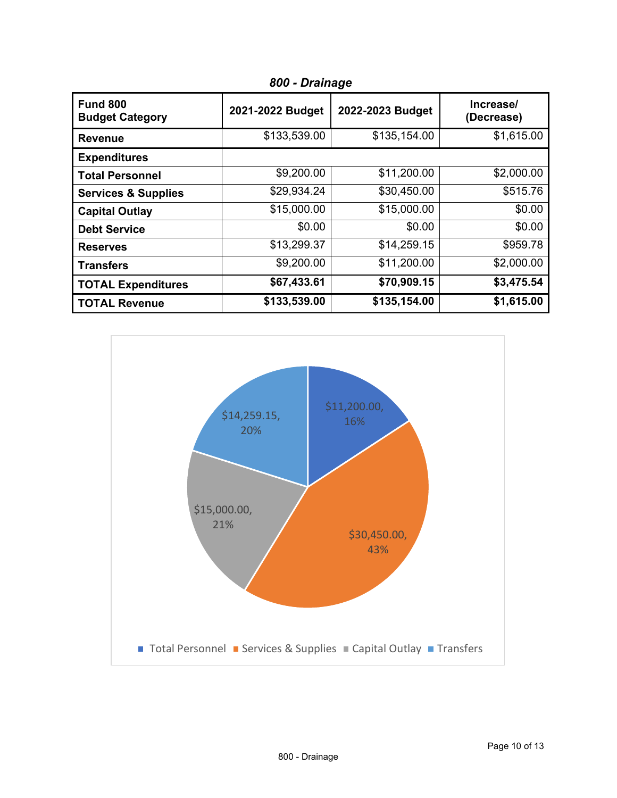| <b>Fund 800</b><br><b>Budget Category</b> | 2021-2022 Budget | 2022-2023 Budget | Increase/<br>(Decrease) |
|-------------------------------------------|------------------|------------------|-------------------------|
| <b>Revenue</b>                            | \$133,539.00     | \$135,154.00     | \$1,615.00              |
| <b>Expenditures</b>                       |                  |                  |                         |
| <b>Total Personnel</b>                    | \$9,200.00       | \$11,200.00      | \$2,000.00              |
| <b>Services &amp; Supplies</b>            | \$29,934.24      | \$30,450.00      | \$515.76                |
| <b>Capital Outlay</b>                     | \$15,000.00      | \$15,000.00      | \$0.00                  |
| <b>Debt Service</b>                       | \$0.00           | \$0.00           | \$0.00                  |
| <b>Reserves</b>                           | \$13,299.37      | \$14,259.15      | \$959.78                |
| <b>Transfers</b>                          | \$9,200.00       | \$11,200.00      | \$2,000.00              |
| <b>TOTAL Expenditures</b>                 | \$67,433.61      | \$70,909.15      | \$3,475.54              |
| <b>TOTAL Revenue</b>                      | \$133,539.00     | \$135,154.00     | \$1,615.00              |

*800 - Drainage*

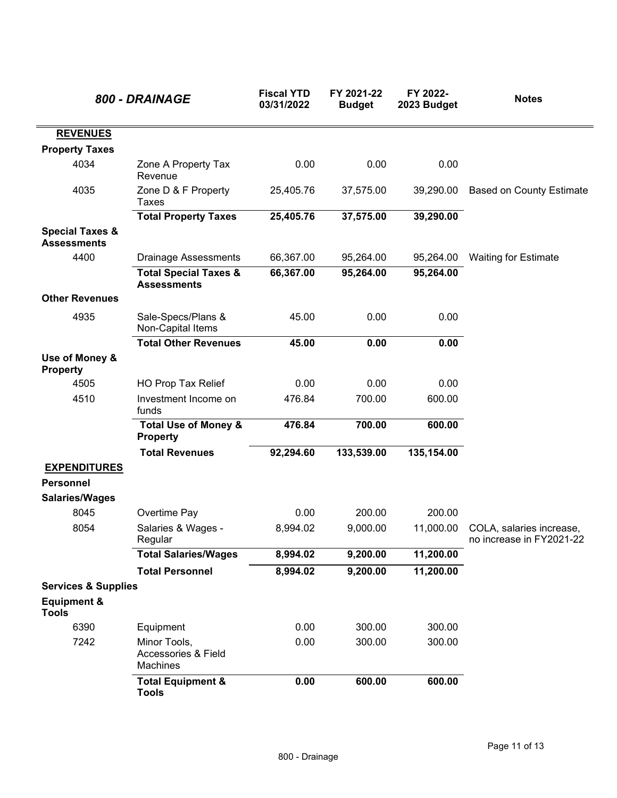|                                                  | 800 - DRAINAGE                                             | <b>Fiscal YTD</b><br>03/31/2022 | FY 2021-22<br><b>Budget</b> | FY 2022-<br>2023 Budget | <b>Notes</b>                                         |
|--------------------------------------------------|------------------------------------------------------------|---------------------------------|-----------------------------|-------------------------|------------------------------------------------------|
| <b>REVENUES</b>                                  |                                                            |                                 |                             |                         |                                                      |
| <b>Property Taxes</b>                            |                                                            |                                 |                             |                         |                                                      |
| 4034                                             | Zone A Property Tax<br>Revenue                             | 0.00                            | 0.00                        | 0.00                    |                                                      |
| 4035                                             | Zone D & F Property<br><b>Taxes</b>                        | 25,405.76                       | 37,575.00                   | 39,290.00               | <b>Based on County Estimate</b>                      |
|                                                  | <b>Total Property Taxes</b>                                | 25,405.76                       | 37,575.00                   | 39,290.00               |                                                      |
| <b>Special Taxes &amp;</b><br><b>Assessments</b> |                                                            |                                 |                             |                         |                                                      |
| 4400                                             | <b>Drainage Assessments</b>                                | 66,367.00                       | 95,264.00                   | 95,264.00               | <b>Waiting for Estimate</b>                          |
|                                                  | <b>Total Special Taxes &amp;</b><br><b>Assessments</b>     | 66,367.00                       | 95,264.00                   | 95,264.00               |                                                      |
| <b>Other Revenues</b>                            |                                                            |                                 |                             |                         |                                                      |
| 4935                                             | Sale-Specs/Plans &<br>Non-Capital Items                    | 45.00                           | 0.00                        | 0.00                    |                                                      |
|                                                  | <b>Total Other Revenues</b>                                | 45.00                           | 0.00                        | 0.00                    |                                                      |
| Use of Money &<br><b>Property</b>                |                                                            |                                 |                             |                         |                                                      |
| 4505                                             | <b>HO Prop Tax Relief</b>                                  | 0.00                            | 0.00                        | 0.00                    |                                                      |
| 4510                                             | Investment Income on<br>funds                              | 476.84                          | 700.00                      | 600.00                  |                                                      |
|                                                  | <b>Total Use of Money &amp;</b><br><b>Property</b>         | 476.84                          | 700.00                      | 600.00                  |                                                      |
|                                                  | <b>Total Revenues</b>                                      | 92,294.60                       | 133,539.00                  | 135,154.00              |                                                      |
| <b>EXPENDITURES</b>                              |                                                            |                                 |                             |                         |                                                      |
| <b>Personnel</b>                                 |                                                            |                                 |                             |                         |                                                      |
| <b>Salaries/Wages</b>                            |                                                            |                                 |                             |                         |                                                      |
| 8045                                             | Overtime Pay                                               | 0.00                            | 200.00                      | 200.00                  |                                                      |
| 8054                                             | Salaries & Wages -<br>Regular                              | 8,994.02                        | 9,000.00                    | 11,000.00               | COLA, salaries increase,<br>no increase in FY2021-22 |
|                                                  | <b>Total Salaries/Wages</b>                                | 8,994.02                        | 9,200.00                    | 11,200.00               |                                                      |
|                                                  | <b>Total Personnel</b>                                     | 8,994.02                        | 9,200.00                    | 11,200.00               |                                                      |
| <b>Services &amp; Supplies</b>                   |                                                            |                                 |                             |                         |                                                      |
| <b>Equipment &amp;</b><br><b>Tools</b>           |                                                            |                                 |                             |                         |                                                      |
| 6390                                             | Equipment                                                  | 0.00                            | 300.00                      | 300.00                  |                                                      |
| 7242                                             | Minor Tools,<br><b>Accessories &amp; Field</b><br>Machines | 0.00                            | 300.00                      | 300.00                  |                                                      |
|                                                  | <b>Total Equipment &amp;</b><br><b>Tools</b>               | 0.00                            | 600.00                      | 600.00                  |                                                      |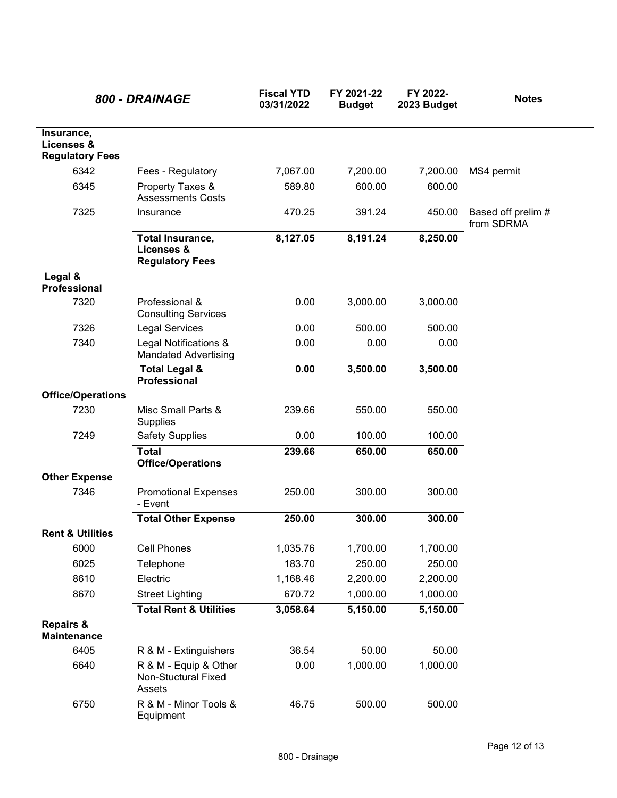|                                                    | 800 - DRAINAGE                                                  | <b>Fiscal YTD</b><br>03/31/2022 | FY 2021-22<br><b>Budget</b> | FY 2022-<br>2023 Budget | <b>Notes</b>                     |
|----------------------------------------------------|-----------------------------------------------------------------|---------------------------------|-----------------------------|-------------------------|----------------------------------|
| Insurance,<br>Licenses &<br><b>Regulatory Fees</b> |                                                                 |                                 |                             |                         |                                  |
| 6342                                               | Fees - Regulatory                                               | 7,067.00                        | 7,200.00                    | 7,200.00                | MS4 permit                       |
| 6345                                               | Property Taxes &<br><b>Assessments Costs</b>                    | 589.80                          | 600.00                      | 600.00                  |                                  |
| 7325                                               | Insurance                                                       | 470.25                          | 391.24                      | 450.00                  | Based off prelim #<br>from SDRMA |
|                                                    | <b>Total Insurance,</b><br>Licenses &<br><b>Regulatory Fees</b> | 8,127.05                        | 8,191.24                    | 8,250.00                |                                  |
| Legal &<br><b>Professional</b>                     |                                                                 |                                 |                             |                         |                                  |
| 7320                                               | Professional &<br><b>Consulting Services</b>                    | 0.00                            | 3,000.00                    | 3,000.00                |                                  |
| 7326                                               | <b>Legal Services</b>                                           | 0.00                            | 500.00                      | 500.00                  |                                  |
| 7340                                               | Legal Notifications &<br><b>Mandated Advertising</b>            | 0.00                            | 0.00                        | 0.00                    |                                  |
|                                                    | <b>Total Legal &amp;</b><br>Professional                        | 0.00                            | 3,500.00                    | 3,500.00                |                                  |
| <b>Office/Operations</b>                           |                                                                 |                                 |                             |                         |                                  |
| 7230                                               | Misc Small Parts &<br>Supplies                                  | 239.66                          | 550.00                      | 550.00                  |                                  |
| 7249                                               | <b>Safety Supplies</b>                                          | 0.00                            | 100.00                      | 100.00                  |                                  |
|                                                    | <b>Total</b><br><b>Office/Operations</b>                        | 239.66                          | 650.00                      | 650.00                  |                                  |
| <b>Other Expense</b>                               |                                                                 |                                 |                             |                         |                                  |
| 7346                                               | <b>Promotional Expenses</b><br>- Event                          | 250.00                          | 300.00                      | 300.00                  |                                  |
| <b>Rent &amp; Utilities</b>                        | <b>Total Other Expense</b>                                      | 250.00                          | 300.00                      | 300.00                  |                                  |
| 6000                                               | Cell Phones                                                     | 1,035.76                        | 1,700.00                    | 1,700.00                |                                  |
| 6025                                               | Telephone                                                       | 183.70                          | 250.00                      | 250.00                  |                                  |
| 8610                                               | Electric                                                        | 1,168.46                        | 2,200.00                    | 2,200.00                |                                  |
| 8670                                               | <b>Street Lighting</b>                                          | 670.72                          | 1,000.00                    | 1,000.00                |                                  |
|                                                    | <b>Total Rent &amp; Utilities</b>                               | 3,058.64                        | 5,150.00                    | 5,150.00                |                                  |
| <b>Repairs &amp;</b><br><b>Maintenance</b>         |                                                                 |                                 |                             |                         |                                  |
| 6405                                               | R & M - Extinguishers                                           | 36.54                           | 50.00                       | 50.00                   |                                  |
| 6640                                               | R & M - Equip & Other<br>Non-Stuctural Fixed<br>Assets          | 0.00                            | 1,000.00                    | 1,000.00                |                                  |
| 6750                                               | R & M - Minor Tools &<br>Equipment                              | 46.75                           | 500.00                      | 500.00                  |                                  |